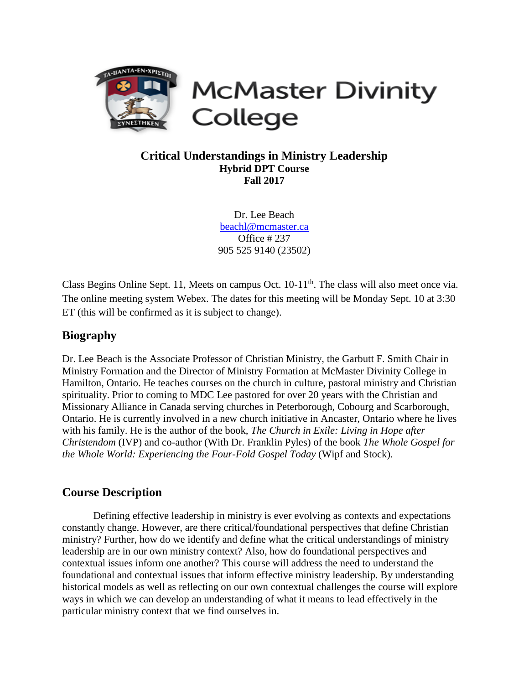

**McMaster Divinity** College

## **Critical Understandings in Ministry Leadership Hybrid DPT Course Fall 2017**

Dr. Lee Beach [beachl@mcmaster.ca](mailto:beachl@mcmaster.ca) Office # 237 905 525 9140 (23502)

Class Begins Online Sept. 11, Meets on campus Oct. 10-11<sup>th</sup>. The class will also meet once via. The online meeting system Webex. The dates for this meeting will be Monday Sept. 10 at 3:30 ET (this will be confirmed as it is subject to change).

# **Biography**

Dr. Lee Beach is the Associate Professor of Christian Ministry, the Garbutt F. Smith Chair in Ministry Formation and the Director of Ministry Formation at McMaster Divinity College in Hamilton, Ontario. He teaches courses on the church in culture, pastoral ministry and Christian spirituality. Prior to coming to MDC Lee pastored for over 20 years with the Christian and Missionary Alliance in Canada serving churches in Peterborough, Cobourg and Scarborough, Ontario. He is currently involved in a new church initiative in Ancaster, Ontario where he lives with his family. He is the author of the book, *The Church in Exile: Living in Hope after Christendom* (IVP) and co-author (With Dr. Franklin Pyles) of the book *The Whole Gospel for the Whole World: Experiencing the Four-Fold Gospel Today* (Wipf and Stock).

## **Course Description**

Defining effective leadership in ministry is ever evolving as contexts and expectations constantly change. However, are there critical/foundational perspectives that define Christian ministry? Further, how do we identify and define what the critical understandings of ministry leadership are in our own ministry context? Also, how do foundational perspectives and contextual issues inform one another? This course will address the need to understand the foundational and contextual issues that inform effective ministry leadership. By understanding historical models as well as reflecting on our own contextual challenges the course will explore ways in which we can develop an understanding of what it means to lead effectively in the particular ministry context that we find ourselves in.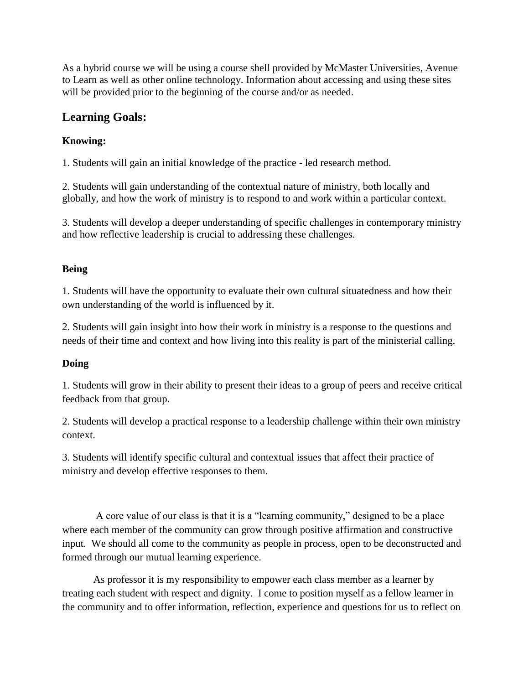As a hybrid course we will be using a course shell provided by McMaster Universities, Avenue to Learn as well as other online technology. Information about accessing and using these sites will be provided prior to the beginning of the course and/or as needed.

# **Learning Goals:**

## **Knowing:**

1. Students will gain an initial knowledge of the practice - led research method.

2. Students will gain understanding of the contextual nature of ministry, both locally and globally, and how the work of ministry is to respond to and work within a particular context.

3. Students will develop a deeper understanding of specific challenges in contemporary ministry and how reflective leadership is crucial to addressing these challenges.

## **Being**

1. Students will have the opportunity to evaluate their own cultural situatedness and how their own understanding of the world is influenced by it.

2. Students will gain insight into how their work in ministry is a response to the questions and needs of their time and context and how living into this reality is part of the ministerial calling.

## **Doing**

1. Students will grow in their ability to present their ideas to a group of peers and receive critical feedback from that group.

2. Students will develop a practical response to a leadership challenge within their own ministry context.

3. Students will identify specific cultural and contextual issues that affect their practice of ministry and develop effective responses to them.

A core value of our class is that it is a "learning community," designed to be a place where each member of the community can grow through positive affirmation and constructive input. We should all come to the community as people in process, open to be deconstructed and formed through our mutual learning experience.

As professor it is my responsibility to empower each class member as a learner by treating each student with respect and dignity. I come to position myself as a fellow learner in the community and to offer information, reflection, experience and questions for us to reflect on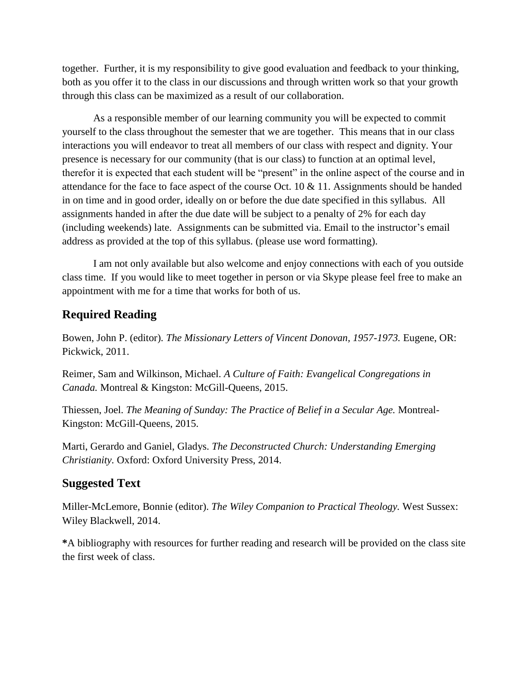together. Further, it is my responsibility to give good evaluation and feedback to your thinking, both as you offer it to the class in our discussions and through written work so that your growth through this class can be maximized as a result of our collaboration.

As a responsible member of our learning community you will be expected to commit yourself to the class throughout the semester that we are together. This means that in our class interactions you will endeavor to treat all members of our class with respect and dignity. Your presence is necessary for our community (that is our class) to function at an optimal level, therefor it is expected that each student will be "present" in the online aspect of the course and in attendance for the face to face aspect of the course Oct.  $10 \& 11$ . Assignments should be handed in on time and in good order, ideally on or before the due date specified in this syllabus. All assignments handed in after the due date will be subject to a penalty of 2% for each day (including weekends) late. Assignments can be submitted via. Email to the instructor's email address as provided at the top of this syllabus. (please use word formatting).

I am not only available but also welcome and enjoy connections with each of you outside class time. If you would like to meet together in person or via Skype please feel free to make an appointment with me for a time that works for both of us.

# **Required Reading**

Bowen, John P. (editor). *The Missionary Letters of Vincent Donovan, 1957-1973.* Eugene, OR: Pickwick, 2011.

Reimer, Sam and Wilkinson, Michael. *A Culture of Faith: Evangelical Congregations in Canada.* Montreal & Kingston: McGill-Queens, 2015.

Thiessen, Joel. *The Meaning of Sunday: The Practice of Belief in a Secular Age.* Montreal-Kingston: McGill-Queens, 2015.

Marti, Gerardo and Ganiel, Gladys. *The Deconstructed Church: Understanding Emerging Christianity.* Oxford: Oxford University Press, 2014.

## **Suggested Text**

Miller-McLemore, Bonnie (editor). *The Wiley Companion to Practical Theology.* West Sussex: Wiley Blackwell, 2014.

**\***A bibliography with resources for further reading and research will be provided on the class site the first week of class.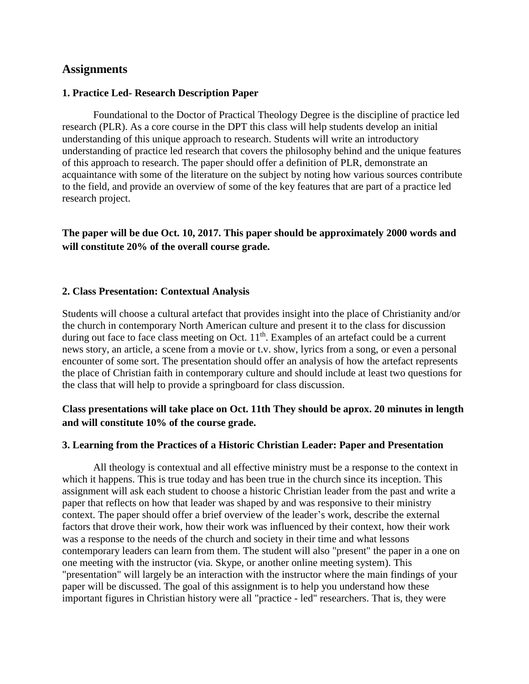## **Assignments**

#### **1. Practice Led- Research Description Paper**

Foundational to the Doctor of Practical Theology Degree is the discipline of practice led research (PLR). As a core course in the DPT this class will help students develop an initial understanding of this unique approach to research. Students will write an introductory understanding of practice led research that covers the philosophy behind and the unique features of this approach to research. The paper should offer a definition of PLR, demonstrate an acquaintance with some of the literature on the subject by noting how various sources contribute to the field, and provide an overview of some of the key features that are part of a practice led research project.

**The paper will be due Oct. 10, 2017. This paper should be approximately 2000 words and will constitute 20% of the overall course grade.**

#### **2. Class Presentation: Contextual Analysis**

Students will choose a cultural artefact that provides insight into the place of Christianity and/or the church in contemporary North American culture and present it to the class for discussion during out face to face class meeting on Oct. 11<sup>th</sup>. Examples of an artefact could be a current news story, an article, a scene from a movie or t.v. show, lyrics from a song, or even a personal encounter of some sort. The presentation should offer an analysis of how the artefact represents the place of Christian faith in contemporary culture and should include at least two questions for the class that will help to provide a springboard for class discussion.

## **Class presentations will take place on Oct. 11th They should be aprox. 20 minutes in length and will constitute 10% of the course grade.**

#### **3. Learning from the Practices of a Historic Christian Leader: Paper and Presentation**

All theology is contextual and all effective ministry must be a response to the context in which it happens. This is true today and has been true in the church since its inception. This assignment will ask each student to choose a historic Christian leader from the past and write a paper that reflects on how that leader was shaped by and was responsive to their ministry context. The paper should offer a brief overview of the leader's work, describe the external factors that drove their work, how their work was influenced by their context, how their work was a response to the needs of the church and society in their time and what lessons contemporary leaders can learn from them. The student will also "present" the paper in a one on one meeting with the instructor (via. Skype, or another online meeting system). This "presentation" will largely be an interaction with the instructor where the main findings of your paper will be discussed. The goal of this assignment is to help you understand how these important figures in Christian history were all "practice - led" researchers. That is, they were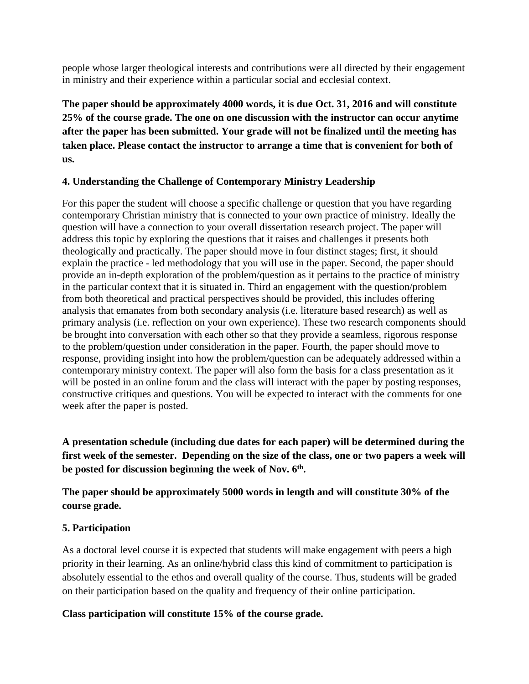people whose larger theological interests and contributions were all directed by their engagement in ministry and their experience within a particular social and ecclesial context.

**The paper should be approximately 4000 words, it is due Oct. 31, 2016 and will constitute 25% of the course grade. The one on one discussion with the instructor can occur anytime after the paper has been submitted. Your grade will not be finalized until the meeting has taken place. Please contact the instructor to arrange a time that is convenient for both of us.** 

## **4. Understanding the Challenge of Contemporary Ministry Leadership**

For this paper the student will choose a specific challenge or question that you have regarding contemporary Christian ministry that is connected to your own practice of ministry. Ideally the question will have a connection to your overall dissertation research project. The paper will address this topic by exploring the questions that it raises and challenges it presents both theologically and practically. The paper should move in four distinct stages; first, it should explain the practice - led methodology that you will use in the paper. Second, the paper should provide an in-depth exploration of the problem/question as it pertains to the practice of ministry in the particular context that it is situated in. Third an engagement with the question/problem from both theoretical and practical perspectives should be provided, this includes offering analysis that emanates from both secondary analysis (i.e. literature based research) as well as primary analysis (i.e. reflection on your own experience). These two research components should be brought into conversation with each other so that they provide a seamless, rigorous response to the problem/question under consideration in the paper. Fourth, the paper should move to response, providing insight into how the problem/question can be adequately addressed within a contemporary ministry context. The paper will also form the basis for a class presentation as it will be posted in an online forum and the class will interact with the paper by posting responses, constructive critiques and questions. You will be expected to interact with the comments for one week after the paper is posted.

**A presentation schedule (including due dates for each paper) will be determined during the first week of the semester. Depending on the size of the class, one or two papers a week will be posted for discussion beginning the week of Nov. 6th .** 

**The paper should be approximately 5000 words in length and will constitute 30% of the course grade.**

## **5. Participation**

As a doctoral level course it is expected that students will make engagement with peers a high priority in their learning. As an online/hybrid class this kind of commitment to participation is absolutely essential to the ethos and overall quality of the course. Thus, students will be graded on their participation based on the quality and frequency of their online participation.

## **Class participation will constitute 15% of the course grade.**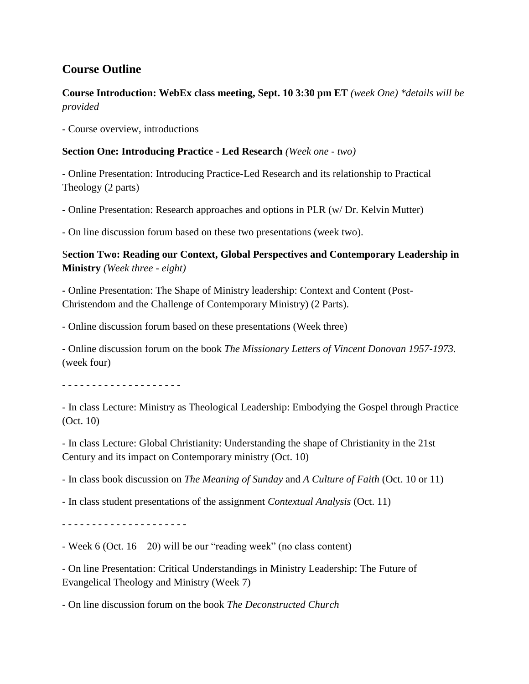# **Course Outline**

# **Course Introduction: WebEx class meeting, Sept. 10 3:30 pm ET** *(week One) \*details will be provided*

- Course overview, introductions

## **Section One: Introducing Practice - Led Research** *(Week one - two)*

- Online Presentation: Introducing Practice-Led Research and its relationship to Practical Theology (2 parts)

- Online Presentation: Research approaches and options in PLR (w/ Dr. Kelvin Mutter)

- On line discussion forum based on these two presentations (week two).

S**ection Two: Reading our Context, Global Perspectives and Contemporary Leadership in Ministry** *(Week three - eight)*

**-** Online Presentation: The Shape of Ministry leadership: Context and Content (Post-Christendom and the Challenge of Contemporary Ministry) (2 Parts).

- Online discussion forum based on these presentations (Week three)

- Online discussion forum on the book *The Missionary Letters of Vincent Donovan 1957-1973.*  (week four)

- - - - - - - - - - - - - - - - - - - -

- In class Lecture: Ministry as Theological Leadership: Embodying the Gospel through Practice (Oct. 10)

- In class Lecture: Global Christianity: Understanding the shape of Christianity in the 21st Century and its impact on Contemporary ministry (Oct. 10)

- In class book discussion on *The Meaning of Sunday* and *A Culture of Faith* (Oct. 10 or 11)

- In class student presentations of the assignment *Contextual Analysis* (Oct. 11)

- - - - - - - - - - - - - - - - - - - - -

- Week 6 (Oct. 16 – 20) will be our "reading week" (no class content)

- On line Presentation: Critical Understandings in Ministry Leadership: The Future of Evangelical Theology and Ministry (Week 7)

- On line discussion forum on the book *The Deconstructed Church*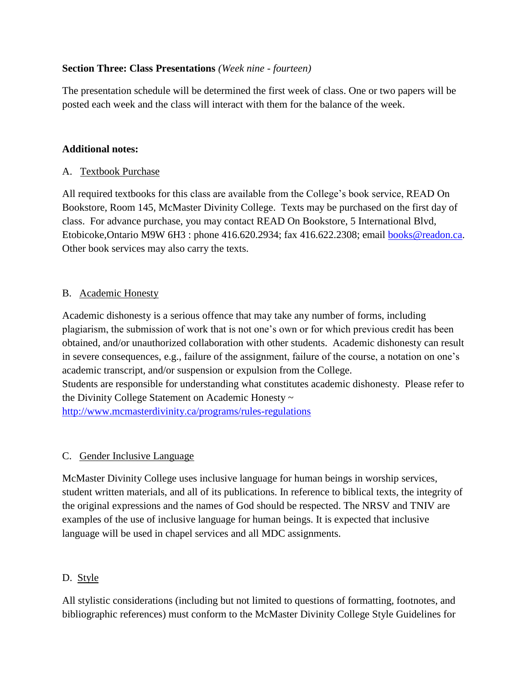## **Section Three: Class Presentations** *(Week nine - fourteen)*

The presentation schedule will be determined the first week of class. One or two papers will be posted each week and the class will interact with them for the balance of the week.

## **Additional notes:**

#### A. Textbook Purchase

All required textbooks for this class are available from the College's book service, READ On Bookstore, Room 145, McMaster Divinity College. Texts may be purchased on the first day of class. For advance purchase, you may contact READ On Bookstore, 5 International Blvd, Etobicoke,Ontario M9W 6H3 : phone 416.620.2934; fax 416.622.2308; email [books@readon.ca.](mailto:books@readon.ca) Other book services may also carry the texts.

#### B. Academic Honesty

Academic dishonesty is a serious offence that may take any number of forms, including plagiarism, the submission of work that is not one's own or for which previous credit has been obtained, and/or unauthorized collaboration with other students. Academic dishonesty can result in severe consequences, e.g., failure of the assignment, failure of the course, a notation on one's academic transcript, and/or suspension or expulsion from the College. Students are responsible for understanding what constitutes academic dishonesty. Please refer to the Divinity College Statement on Academic Honesty ~

<http://www.mcmasterdivinity.ca/programs/rules-regulations>

## C. Gender Inclusive Language

McMaster Divinity College uses inclusive language for human beings in worship services, student written materials, and all of its publications. In reference to biblical texts, the integrity of the original expressions and the names of God should be respected. The NRSV and TNIV are examples of the use of inclusive language for human beings. It is expected that inclusive language will be used in chapel services and all MDC assignments.

## D. Style

All stylistic considerations (including but not limited to questions of formatting, footnotes, and bibliographic references) must conform to the McMaster Divinity College Style Guidelines for